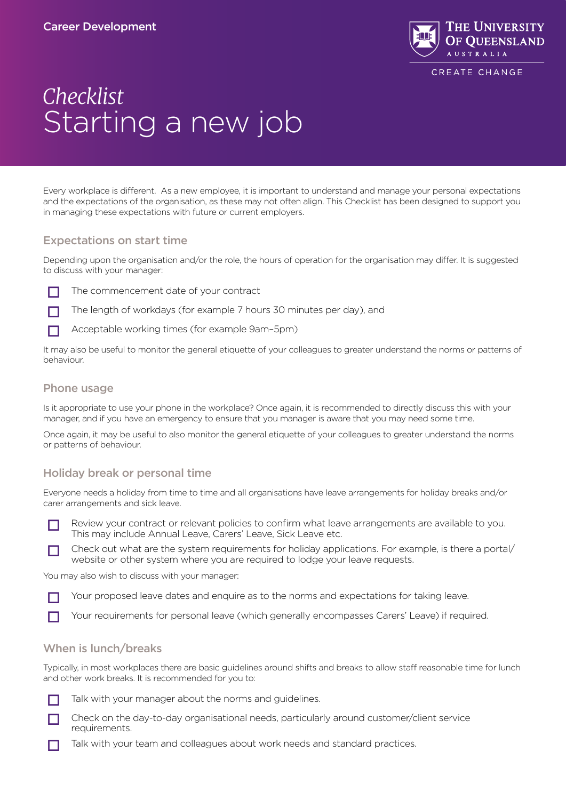

# *Checklist* Starting a new job

Every workplace is different. As a new employee, it is important to understand and manage your personal expectations and the expectations of the organisation, as these may not often align. This Checklist has been designed to support you in managing these expectations with future or current employers.

### Expectations on start time

Depending upon the organisation and/or the role, the hours of operation for the organisation may differ. It is suggested to discuss with your manager:

 $\Box$  The commencement date of your contract



 $\Box$  Acceptable working times (for example 9am–5pm)

It may also be useful to monitor the general etiquette of your colleagues to greater understand the norms or patterns of behaviour.

#### Phone usage

Is it appropriate to use your phone in the workplace? Once again, it is recommended to directly discuss this with your manager, and if you have an emergency to ensure that you manager is aware that you may need some time.

Once again, it may be useful to also monitor the general etiquette of your colleagues to greater understand the norms or patterns of behaviour.

#### Holiday break or personal time

Everyone needs a holiday from time to time and all organisations have leave arrangements for holiday breaks and/or carer arrangements and sick leave.

Review your contract or relevant policies to confirm what leave arrangements are available to you. This may include Annual Leave, Carers' Leave, Sick Leave etc.

Check out what are the system requirements for holiday applications. For example, is there a portal/ website or other system where you are required to lodge your leave requests.

You may also wish to discuss with your manager:

 $\Box$  Your proposed leave dates and enquire as to the norms and expectations for taking leave.

 $\Box$  Your requirements for personal leave (which generally encompasses Carers' Leave) if required.

#### When is lunch/breaks

Typically, in most workplaces there are basic guidelines around shifts and breaks to allow staff reasonable time for lunch and other work breaks. It is recommended for you to:

- $\Box$  Talk with your manager about the norms and guidelines.
- Check on the day-to-day organisational needs, particularly around customer/client service requirements.
- $\Box$  Talk with your team and colleagues about work needs and standard practices.